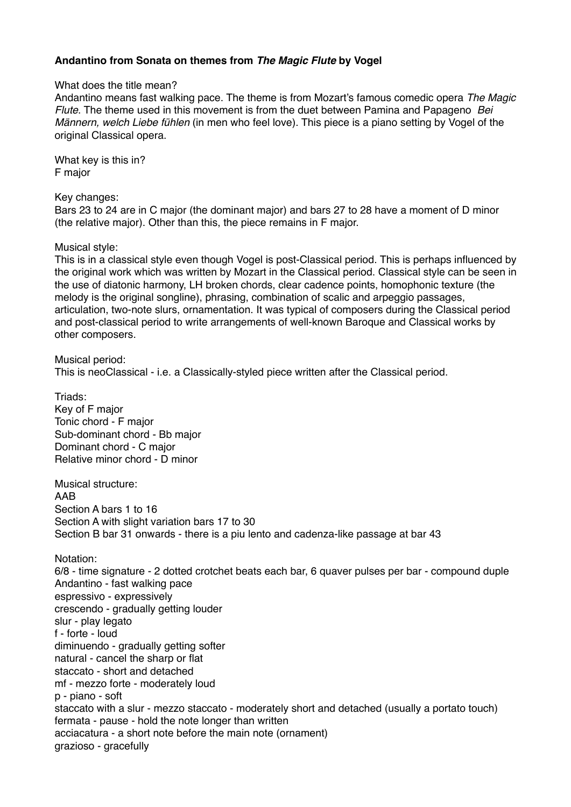## **Andantino from Sonata on themes from** *The Magic Flute* **by Vogel**

## What does the title mean?

Andantino means fast walking pace. The theme is from Mozart's famous comedic opera *The Magic Flute*. The theme used in this movement is from the duet between Pamina and Papageno *Bei Männern, welch Liebe fühlen* (in men who feel love). This piece is a piano setting by Vogel of the original Classical opera.

What key is this in? F major

Key changes:

Bars 23 to 24 are in C major (the dominant major) and bars 27 to 28 have a moment of D minor (the relative major). Other than this, the piece remains in F major.

## Musical style:

This is in a classical style even though Vogel is post-Classical period. This is perhaps influenced by the original work which was written by Mozart in the Classical period. Classical style can be seen in the use of diatonic harmony, LH broken chords, clear cadence points, homophonic texture (the melody is the original songline), phrasing, combination of scalic and arpeggio passages, articulation, two-note slurs, ornamentation. It was typical of composers during the Classical period and post-classical period to write arrangements of well-known Baroque and Classical works by other composers.

Musical period: This is neoClassical - i.e. a Classically-styled piece written after the Classical period.

Triads: Key of F major Tonic chord - F major Sub-dominant chord - Bb major Dominant chord - C major Relative minor chord - D minor

Musical structure: AAB Section A bars 1 to 16 Section A with slight variation bars 17 to 30 Section B bar 31 onwards - there is a piu lento and cadenza-like passage at bar 43

Notation:

6/8 - time signature - 2 dotted crotchet beats each bar, 6 quaver pulses per bar - compound duple Andantino - fast walking pace espressivo - expressively crescendo - gradually getting louder slur - play legato f - forte - loud diminuendo - gradually getting softer natural - cancel the sharp or flat staccato - short and detached mf - mezzo forte - moderately loud p - piano - soft staccato with a slur - mezzo staccato - moderately short and detached (usually a portato touch) fermata - pause - hold the note longer than written acciacatura - a short note before the main note (ornament) grazioso - gracefully